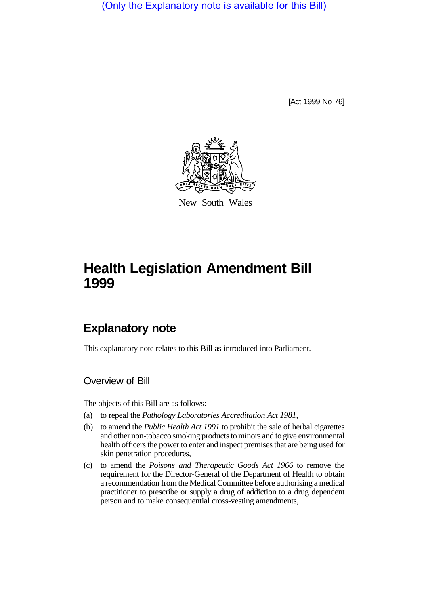(Only the Explanatory note is available for this Bill)

[Act 1999 No 76]



New South Wales

# **Health Legislation Amendment Bill 1999**

# **Explanatory note**

This explanatory note relates to this Bill as introduced into Parliament.

Overview of Bill

The objects of this Bill are as follows:

- (a) to repeal the *Pathology Laboratories Accreditation Act 1981*,
- (b) to amend the *Public Health Act 1991* to prohibit the sale of herbal cigarettes and other non-tobacco smoking products to minors and to give environmental health officers the power to enter and inspect premises that are being used for skin penetration procedures,
- (c) to amend the *Poisons and Therapeutic Goods Act 1966* to remove the requirement for the Director-General of the Department of Health to obtain a recommendation from the Medical Committee before authorising a medical practitioner to prescribe or supply a drug of addiction to a drug dependent person and to make consequential cross-vesting amendments,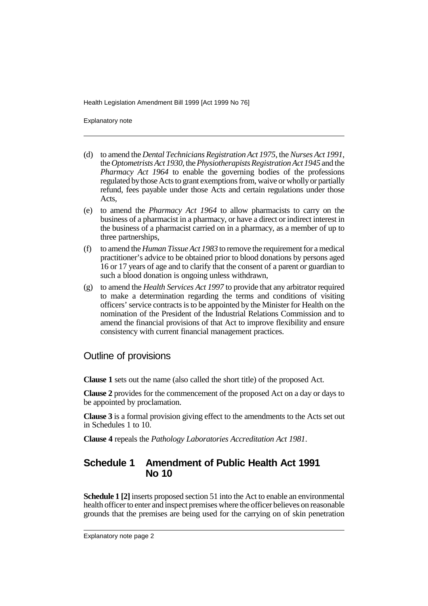Explanatory note

- (d) to amend the *Dental Technicians Registration Act 1975*, the *Nurses Act 1991*, the *Optometrists Act 1930*, the *Physiotherapists Registration Act 1945* and the *Pharmacy Act 1964* to enable the governing bodies of the professions regulated by those Acts to grant exemptions from, waive or wholly or partially refund, fees payable under those Acts and certain regulations under those Acts,
- (e) to amend the *Pharmacy Act 1964* to allow pharmacists to carry on the business of a pharmacist in a pharmacy, or have a direct or indirect interest in the business of a pharmacist carried on in a pharmacy, as a member of up to three partnerships,
- (f) to amend the *Human Tissue Act 1983* to remove the requirement for a medical practitioner's advice to be obtained prior to blood donations by persons aged 16 or 17 years of age and to clarify that the consent of a parent or guardian to such a blood donation is ongoing unless withdrawn,
- (g) to amend the *Health Services Act 1997* to provide that any arbitrator required to make a determination regarding the terms and conditions of visiting officers' service contracts is to be appointed by the Minister for Health on the nomination of the President of the Industrial Relations Commission and to amend the financial provisions of that Act to improve flexibility and ensure consistency with current financial management practices.

#### Outline of provisions

**Clause 1** sets out the name (also called the short title) of the proposed Act.

**Clause 2** provides for the commencement of the proposed Act on a day or days to be appointed by proclamation.

**Clause 3** is a formal provision giving effect to the amendments to the Acts set out in Schedules 1 to 10.

**Clause 4** repeals the *Pathology Laboratories Accreditation Act 1981*.

## **Schedule 1 Amendment of Public Health Act 1991 No 10**

**Schedule 1 [2]** inserts proposed section 51 into the Act to enable an environmental health officer to enter and inspect premises where the officer believes on reasonable grounds that the premises are being used for the carrying on of skin penetration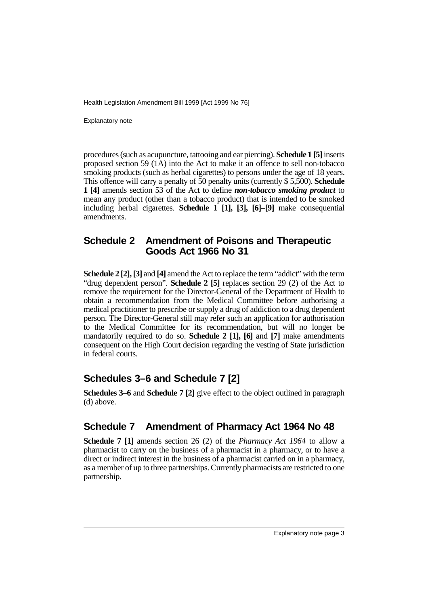Explanatory note

procedures (such as acupuncture, tattooing and ear piercing). **Schedule 1 [5]** inserts proposed section 59  $(1\overline{A})$  into the Act to make it an offence to sell non-tobacco smoking products (such as herbal cigarettes) to persons under the age of 18 years. This offence will carry a penalty of 50 penalty units (currently \$ 5,500). **Schedule 1 [4]** amends section 53 of the Act to define *non-tobacco smoking product* to mean any product (other than a tobacco product) that is intended to be smoked including herbal cigarettes. **Schedule 1 [1], [3], [6]–[9]** make consequential amendments.

## **Schedule 2 Amendment of Poisons and Therapeutic Goods Act 1966 No 31**

**Schedule 2 [2], [3]** and **[4]** amend the Act to replace the term "addict" with the term "drug dependent person". **Schedule 2 [5]** replaces section 29 (2) of the Act to remove the requirement for the Director-General of the Department of Health to obtain a recommendation from the Medical Committee before authorising a medical practitioner to prescribe or supply a drug of addiction to a drug dependent person. The Director-General still may refer such an application for authorisation to the Medical Committee for its recommendation, but will no longer be mandatorily required to do so. **Schedule 2 [1], [6]** and **[7]** make amendments consequent on the High Court decision regarding the vesting of State jurisdiction in federal courts.

# **Schedules 3–6 and Schedule 7 [2]**

**Schedules 3–6** and **Schedule 7 [2]** give effect to the object outlined in paragraph (d) above.

# **Schedule 7 Amendment of Pharmacy Act 1964 No 48**

**Schedule 7 [1]** amends section 26 (2) of the *Pharmacy Act 1964* to allow a pharmacist to carry on the business of a pharmacist in a pharmacy, or to have a direct or indirect interest in the business of a pharmacist carried on in a pharmacy, as a member of up to three partnerships. Currently pharmacists are restricted to one partnership.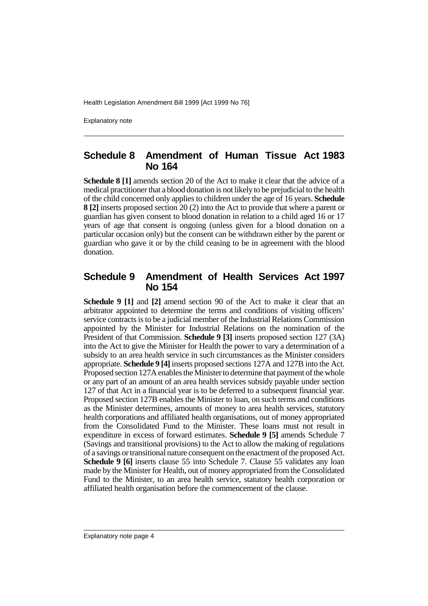Explanatory note

#### **Schedule 8 Amendment of Human Tissue Act 1983 No 164**

**Schedule 8 [1]** amends section 20 of the Act to make it clear that the advice of a medical practitioner that a blood donation is not likely to be prejudicial to the health of the child concerned only applies to children under the age of 16 years. **Schedule 8 [2]** inserts proposed section 20 (2) into the Act to provide that where a parent or guardian has given consent to blood donation in relation to a child aged 16 or 17 years of age that consent is ongoing (unless given for a blood donation on a particular occasion only) but the consent can be withdrawn either by the parent or guardian who gave it or by the child ceasing to be in agreement with the blood donation.

#### **Schedule 9 Amendment of Health Services Act 1997 No 154**

**Schedule 9 [1]** and **[2]** amend section 90 of the Act to make it clear that an arbitrator appointed to determine the terms and conditions of visiting officers' service contracts is to be a judicial member of the Industrial Relations Commission appointed by the Minister for Industrial Relations on the nomination of the President of that Commission. **Schedule 9 [3]** inserts proposed section 127 (3A) into the Act to give the Minister for Health the power to vary a determination of a subsidy to an area health service in such circumstances as the Minister considers appropriate. **Schedule 9 [4]** inserts proposed sections 127A and 127B into the Act. Proposed section 127A enables the Minister to determine that payment of the whole or any part of an amount of an area health services subsidy payable under section 127 of that Act in a financial year is to be deferred to a subsequent financial year. Proposed section 127B enables the Minister to loan, on such terms and conditions as the Minister determines, amounts of money to area health services, statutory health corporations and affiliated health organisations, out of money appropriated from the Consolidated Fund to the Minister. These loans must not result in expenditure in excess of forward estimates. **Schedule 9 [5]** amends Schedule 7 (Savings and transitional provisions) to the Act to allow the making of regulations of a savings or transitional nature consequent on the enactment of the proposed Act. **Schedule 9 [6]** inserts clause 55 into Schedule 7. Clause 55 validates any loan made by the Minister for Health, out of money appropriated from the Consolidated Fund to the Minister, to an area health service, statutory health corporation or affiliated health organisation before the commencement of the clause.